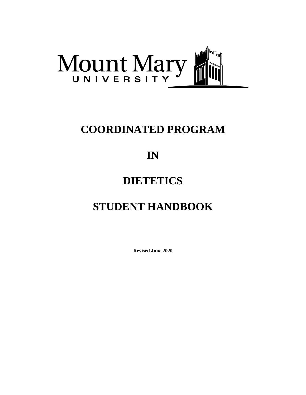

## **COORDINATED PROGRAM**

## **IN**

## **DIETETICS**

# **STUDENT HANDBOOK**

**Revised June 2020**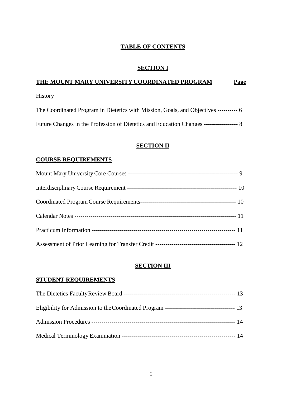### **TABLE OF CONTENTS**

### **SECTION I**

### **THE MOUNT MARY UNIVERSITY COORDINATED PROGRAM Page**

[History](#page-4-0) 

The Coordinated Program in Dietetics with Mission, Goals, and Objectives ---------- 6 Future Changes in the Profession of Dietetics and Education Changes ----------------- 8

### **[SECTION II](#page-8-0)**

#### **[COURSE REQUIREMENTS](#page-8-1)**

#### **[SECTION III](#page-12-0)**

#### **[STUDENT REQUIREMENTS](#page-12-1)**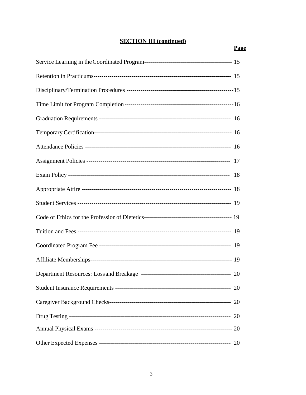## **SECTION III (continued)**

| 20 |
|----|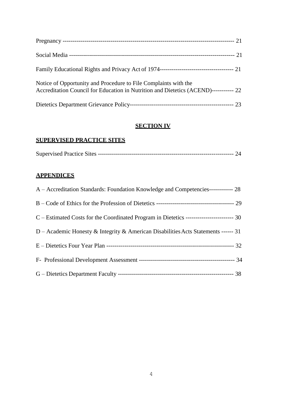| Family Educational Rights and Privacy Act of 1974————————————————————————————————21                                                                     |  |
|---------------------------------------------------------------------------------------------------------------------------------------------------------|--|
| Notice of Opportunity and Procedure to File Complaints with the<br>Accreditation Council for Education in Nutrition and Dietetics (ACEND)----------- 22 |  |
|                                                                                                                                                         |  |

### **[SECTION IV](#page-22-0)**

#### **[SUPERVISED PRACTICE SITES](#page-22-1)**

### **APPENDICES**

| A – Accreditation Standards: Foundation Knowledge and Competencies------------ 28          |  |
|--------------------------------------------------------------------------------------------|--|
|                                                                                            |  |
| C – Estimated Costs for the Coordinated Program in Dietetics -------------------------- 30 |  |
| D – Academic Honesty & Integrity & American Disabilities Acts Statements ------ 31         |  |
|                                                                                            |  |
|                                                                                            |  |
|                                                                                            |  |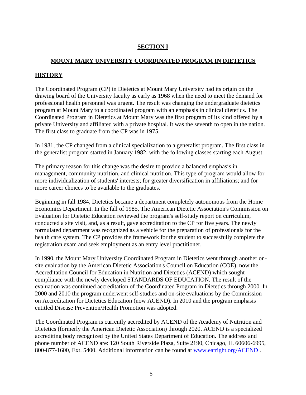## **SECTION I**

### **MOUNT MARY UNIVERSITY COORDINATED PROGRAM IN DIETETICS**

## <span id="page-4-0"></span>**HISTORY**

The Coordinated Program (CP) in Dietetics at Mount Mary University had its origin on the drawing board of the University faculty as early as 1968 when the need to meet the demand for professional health personnel was urgent. The result was changing the undergraduate dietetics program at Mount Mary to a coordinated program with an emphasis in clinical dietetics. The Coordinated Program in Dietetics at Mount Mary was the first program of its kind offered by a private University and affiliated with a private hospital. It was the seventh to open in the nation. The first class to graduate from the CP was in 1975.

In 1981, the CP changed from a clinical specialization to a generalist program. The first class in the generalist program started in January 1982, with the following classes starting each August.

The primary reason for this change was the desire to provide a balanced emphasis in management, community nutrition, and clinical nutrition. This type of program would allow for more individualization of students' interests; for greater diversification in affiliations; and for more career choices to be available to the graduates.

Beginning in fall 1984, Dietetics became a department completely autonomous from the Home Economics Department. In the fall of 1985, The American Dietetic Association's Commission on Evaluation for Dietetic Education reviewed the program's self-study report on curriculum, conducted a site visit, and, as a result, gave accreditation to the CP for five years. The newly formulated department was recognized as a vehicle for the preparation of professionals for the health care system. The CP provides the framework for the student to successfully complete the registration exam and seek employment as an entry level practitioner.

In 1990, the Mount Mary University Coordinated Program in Dietetics went through another onsite evaluation by the American Dietetic Association's Council on Education (COE), now the Accreditation Council for Education in Nutrition and Dietetics (ACEND) which sought compliance with the newly developed STANDARDS OF EDUCATION. The result of the evaluation was continued accreditation of the Coordinated Program in Dietetics through 2000. In 2000 and 2010 the program underwent self-studies and on-site evaluations by the Commission on Accreditation for Dietetics Education (now ACEND). In 2010 and the program emphasis entitled Disease Prevention/Health Promotion was adopted.

The Coordinated Program is currently accredited by ACEND of the Academy of Nutrition and Dietetics (formerly the American Dietetic Association) through 2020. ACEND is a specialized accrediting body recognized by the United States Department of Education. The address and phone number of ACEND are: 120 South Riverside Plaza, Suite 2190, Chicago, IL 60606-6995, 800-877-1600, Ext. 5400. Additional information can be found at [www.eatright.org/ACEND](http://www.eatright.org/ACEND) .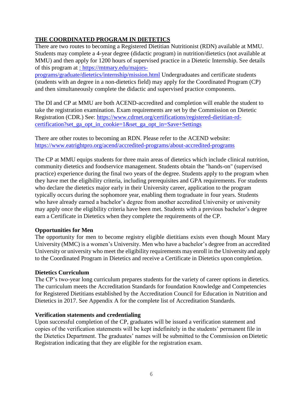### **THE COORDINATED PROGRAM IN DIETETICS**

There are two routes to becoming a Registered Dietitian Nutritionist (RDN) available at MMU. Students may complete a 4-year degree (didactic program) in nutrition/dietetics (not available at MMU) and then apply for 1200 hours of supervised practice in a Dietetic Internship. See details of this program at [: https://mtmary.edu/majors-](https://mtmary.edu/majors-programs/graduate/dietetics/internship/mission.html)

[programs/graduate/dietetics/internship/mission.html](https://mtmary.edu/majors-programs/graduate/dietetics/internship/mission.html) Undergraduates and certificate students (students with an degree in a non-dietetics field) may apply for the Coordinated Program (CP) and then simultaneously complete the didactic and supervised practice components.

The DI and CP at MMU are both ACEND-accredited and completion will enable the student to take the registration examination. Exam requirements are set by the Commission on Dietetic Registration (CDR.) See: [https://www.cdrnet.org/certifications/registered-dietitian-rd](https://www.cdrnet.org/certifications/registered-dietitian-rd-certification?set_ga_opt_in_cookie=1&set_ga_opt_in=Save%2BSettings)[certification?set\\_ga\\_opt\\_in\\_cookie=1&set\\_ga\\_opt\\_in=Save+Settings](https://www.cdrnet.org/certifications/registered-dietitian-rd-certification?set_ga_opt_in_cookie=1&set_ga_opt_in=Save%2BSettings)

There are other routes to becoming an RDN. Please refer to the ACEND website: <https://www.eatrightpro.org/acend/accredited-programs/about-accredited-programs>

The CP at MMU equips students for three main areas of dietetics which include clinical nutrition, community dietetics and foodservice management. Students obtain the "hands-on" (supervised practice) experience during the final two years of the degree. Students apply to the program when they have met the eligibility criteria, including prerequisites and GPA requirements. For students who declare the dietetics major early in their University career, application to the program typically occurs during the sophomore year, enabling them tograduate in four years. Students who have already earned a bachelor's degree from another accredited University or university may apply once the eligibility criteria have been met. Students with a previous bachelor's degree earn a Certificate in Dietetics when they complete the requirements of the CP.

#### **Opportunities for Men**

The opportunity for men to become registry eligible dietitians exists even though Mount Mary University (MMC) is a women's University. Men who have a bachelor's degree from an accredited University or university who meet the eligibility requirements mayenroll in the Universityand apply to the Coordinated Program in Dietetics and receive a Certificate in Dietetics upon completion.

#### **Dietetics Curriculum**

The CP's two-year long curriculum prepares students for the variety of career options in dietetics. The curriculum meets the Accreditation Standards for foundation Knowledge and Competencies for Registered Dietitians established by the Accreditation Council for Education in Nutrition and Dietetics in 2017. See Appendix A for the complete list of Accreditation Standards.

#### **Verification statements and credentialing**

Upon successful completion of the CP, graduates will be issued a verification statement and copies of the verification statements will be kept indefinitely in the students' permanent file in the Dietetics Department. The graduates' names will be submitted to the Commission onDietetic Registration indicating that they are eligible for the registration exam.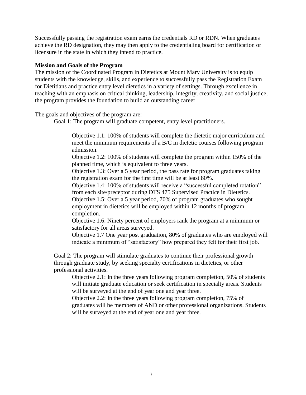Successfully passing the registration exam earns the credentials RD or RDN. When graduates achieve the RD designation, they may then apply to the credentialing board for certification or licensure in the state in which they intend to practice.

#### **Mission and Goals of the Program**

The mission of the Coordinated Program in Dietetics at Mount Mary University is to equip students with the knowledge, skills, and experience to successfully pass the Registration Exam for Dietitians and practice entry level dietetics in a variety of settings. Through excellence in teaching with an emphasis on critical thinking, leadership, integrity, creativity, and social justice, the program provides the foundation to build an outstanding career.

The goals and objectives of the program are:

Goal 1: The program will graduate competent, entry level practitioners.

Objective 1.1: 100% of students will complete the dietetic major curriculum and meet the minimum requirements of a B/C in dietetic courses following program admission.

Objective 1.2: 100% of students will complete the program within 150% of the planned time, which is equivalent to three years.

Objective 1.3: Over a 5 year period, the pass rate for program graduates taking the registration exam for the first time will be at least 80%.

Objective 1.4: 100% of students will receive a "successful completed rotation" from each site/preceptor during DTS 475 Supervised Practice in Dietetics.

Objective 1.5: Over a 5 year period, 70% of program graduates who sought employment in dietetics will be employed within 12 months of program completion.

Objective 1.6: Ninety percent of employers rank the program at a minimum or satisfactory for all areas surveyed.

Objective 1.7 One year post graduation, 80% of graduates who are employed will indicate a minimum of "satisfactory" how prepared they felt for their first job.

Goal 2: The program will stimulate graduates to continue their professional growth through graduate study, by seeking specialty certifications in dietetics, or other professional activities.

Objective 2.1: In the three years following program completion, 50% of students will initiate graduate education or seek certification in specialty areas. Students will be surveyed at the end of year one and year three.

Objective 2.2: In the three years following program completion, 75% of graduates will be members of AND or other professional organizations. Students will be surveyed at the end of year one and year three.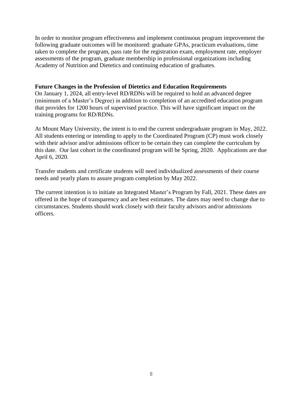In order to monitor program effectiveness and implement continuous program improvement the following graduate outcomes will be monitored: graduate GPAs, practicum evaluations, time taken to complete the program, pass rate for the registration exam, employment rate, employer assessments of the program, graduate membership in professional organizations including Academy of Nutrition and Dietetics and continuing education of graduates.

#### **Future Changes in the Profession of Dietetics and Education Requirements**

On January 1, 2024, all entry-level RD/RDNs will be required to hold an advanced degree (minimum of a Master's Degree) in addition to completion of an accredited education program that provides for 1200 hours of supervised practice. This will have significant impact on the training programs for RD/RDNs.

At Mount Mary University, the intent is to end the current undergraduate program in May, 2022. All students entering or intending to apply to the Coordinated Program (CP) must work closely with their advisor and/or admissions officer to be certain they can complete the curriculum by this date. Our last cohort in the coordinated program will be Spring, 2020. Applications are due April 6, 2020.

Transfer students and certificate students will need individualized assessments of their course needs and yearly plans to assure program completion by May 2022.

The current intention is to initiate an Integrated Master's Program by Fall, 2021. These dates are offered in the hope of transparency and are best estimates. The dates may need to change due to circumstances. Students should work closely with their faculty advisors and/or admissions officers.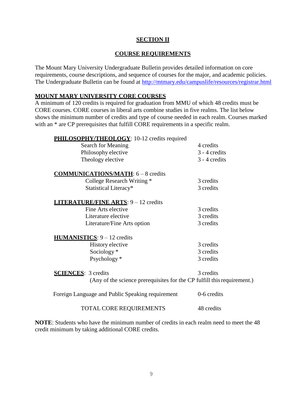#### **SECTION II**

#### **COURSE REQUIREMENTS**

<span id="page-8-1"></span><span id="page-8-0"></span>The Mount Mary University Undergraduate Bulletin provides detailed information on core requirements, course descriptions, and sequence of courses for the major, and academic policies. The Undergraduate Bulletin can be found at<http://mtmary.edu/campuslife/resources/registrar.html>

#### **MOUNT MARY UNIVERSITY CORE COURSES**

A minimum of 120 credits is required for graduation from MMU of which 48 credits must be CORE courses. CORE courses in liberal arts combine studies in five realms. The list below shows the minimum number of credits and type of course needed in each realm. Courses marked with an  $*$  are CP prerequisites that fulfill CORE requirements in a specific realm.

| PHILOSOPHY/THEOLOGY: 10-12 credits required                             |               |
|-------------------------------------------------------------------------|---------------|
| Search for Meaning                                                      | 4 credits     |
| Philosophy elective                                                     | 3 - 4 credits |
| Theology elective                                                       | 3 - 4 credits |
| <b>COMMUNICATIONS/MATH: 6 - 8 credits</b>                               |               |
| College Research Writing *                                              | 3 credits     |
| Statistical Literacy*                                                   | 3 credits     |
| <b>LITERATURE/FINE ARTS: 9 - 12 credits</b>                             |               |
| Fine Arts elective                                                      | 3 credits     |
| Literature elective                                                     | 3 credits     |
| Literature/Fine Arts option                                             | 3 credits     |
| <b>HUMANISTICS</b> : $9 - 12$ credits                                   |               |
| History elective                                                        | 3 credits     |
| Sociology*                                                              | 3 credits     |
| Psychology*                                                             | 3 credits     |
| <b>SCIENCES:</b> 3 credits                                              | 3 credits     |
| (Any of the science prerequisites for the CP fulfill this requirement.) |               |
| Foreign Language and Public Speaking requirement                        | 0-6 credits   |
| <b>TOTAL CORE REQUIREMENTS</b>                                          | 48 credits    |

**NOTE**: Students who have the minimum number of credits in each realm need to meet the 48 credit minimum by taking additional CORE credits.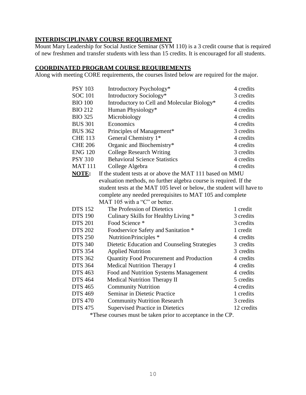### **INTERDISCIPLINARY COURSE REQUIREMENT**

Mount Mary Leadership for Social Justice Seminar (SYM 110) is a 3 credit course that is required of new freshmen and transfer students with less than 15 credits. It is encouraged for all students.

#### <span id="page-9-0"></span>**COORDINATED PROGRAM COURSE REQUIREMENTS**

Along with meeting CORE requirements, the courses listed below are required for the major.

| <b>PSY 103</b> | Introductory Psychology*                                              | 4 credits |
|----------------|-----------------------------------------------------------------------|-----------|
| <b>SOC 101</b> | Introductory Sociology*                                               | 3 credits |
| <b>BIO 100</b> | Introductory to Cell and Molecular Biology*                           | 4 credits |
| <b>BIO 212</b> | Human Physiology*                                                     | 4 credits |
| <b>BIO 325</b> | Microbiology                                                          | 4 credits |
| <b>BUS 301</b> | Economics                                                             | 4 credits |
| <b>BUS 362</b> | Principles of Management*                                             | 3 credits |
| <b>CHE 113</b> | General Chemistry 1*                                                  | 4 credits |
| <b>CHE 206</b> | Organic and Biochemistry*                                             | 4 credits |
| <b>ENG 120</b> | <b>College Research Writing</b>                                       | 3 credits |
| <b>PSY 310</b> | <b>Behavioral Science Statistics</b>                                  | 4 credits |
| <b>MAT 111</b> | College Algebra                                                       | 4 credits |
| NOTE:          | If the student tests at or above the MAT 111 based on MMU             |           |
|                | evaluation methods, no further algebra course is required. If the     |           |
|                | student tests at the MAT 105 level or below, the student will have to |           |
|                | complete any needed prerequisites to MAT 105 and complete             |           |
|                | MAT 105 with a "C" or better.                                         |           |
|                |                                                                       |           |
| <b>DTS 152</b> | The Profession of Dietetics                                           | 1 credit  |
| <b>DTS 190</b> | Culinary Skills for Healthy Living *                                  | 3 credits |
| <b>DTS 201</b> | Food Science *                                                        | 3 credits |
| <b>DTS 202</b> | Foodservice Safety and Sanitation *                                   | 1 credit  |
| <b>DTS 250</b> | Nutrition Principles *                                                | 4 credits |
| <b>DTS 340</b> | Dietetic Education and Counseling Strategies                          | 3 credits |
| <b>DTS 354</b> | <b>Applied Nutrition</b>                                              | 3 credits |
| <b>DTS 362</b> | Quantity Food Procurement and Production                              | 4 credits |
| <b>DTS 364</b> | <b>Medical Nutrition Therapy I</b>                                    | 4 credits |
| <b>DTS 463</b> | Food and Nutrition Systems Management                                 | 4 credits |
| <b>DTS 464</b> | <b>Medical Nutrition Therapy II</b>                                   | 5 credits |
| <b>DTS 465</b> | <b>Community Nutrition</b>                                            | 4 credits |
| <b>DTS 469</b> | Seminar in Dietetic Practice                                          | 1 credits |
| <b>DTS 470</b> | <b>Community Nutrition Research</b>                                   | 3 credits |

\*These courses must be taken prior to acceptance in the CP.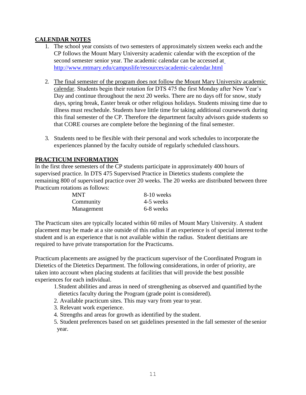#### **CALENDAR NOTES**

- 1. The school year consists of two semesters of approximately sixteen weeks each and the CP follows the Mount Mary University academic calendar with the exception of the second semester senior year. The academic calendar can be accessed a[t](http://www.mtmary.edu/campuslife/resources/academic-calendar.html) <http://www.mtmary.edu/campuslife/resources/academic-calendar.html>
- 2. The final semester of the program does not follow the Mount Mary University academic calendar. Students begin their rotation for DTS 475 the first Monday after New Year's Day and continue throughout the next 20 weeks. There are no days off for snow, study days, spring break, Easter break or other religious holidays. Students missing time due to illness must reschedule. Students have little time for taking additional coursework during this final semester of the CP. Therefore the department faculty advisors guide students so that CORE courses are complete before the beginning of the finalsemester.
- 3. Students need to be flexible with their personal and work schedules to incorporate the experiences planned by the faculty outside of regularly scheduled classhours.

#### **PRACTICUM INFORMATION**

In the first three semesters of the CP students participate in approximately 400 hours of supervised practice. In DTS 475 Supervised Practice in Dietetics students complete the remaining 800 of supervised practice over 20 weeks. The 20 weeks are distributed between three Practicum rotations as follows:

| <b>MNT</b> | 8-10 weeks |
|------------|------------|
| Community  | 4-5 weeks  |
| Management | 6-8 weeks  |

The Practicum sites are typically located within 60 miles of Mount Mary University. A student placement may be made at a site outside of this radius if an experience is of special interest tothe student and is an experience that is not available within the radius. Student dietitians are required to have private transportation for the Practicums.

Practicum placements are assigned by the practicum supervisor of the Coordinated Program in Dietetics of the Dietetics Department. The following considerations, in order of priority, are taken into account when placing students at facilities that will provide the best possible experiences for each individual.

- 1.Student abilities and areas in need of strengthening as observed and quantified bythe dietetics faculty during the Program (grade point is considered).
- 2. Available practicum sites. This may vary from year to year.
- 3. Relevant work experience.
- 4. Strengths and areas for growth as identified by the student.
- 5. Student preferences based on set guidelines presented in the fall semester of the senior year.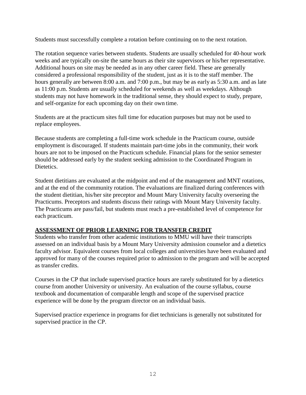Students must successfully complete a rotation before continuing on to the next rotation.

The rotation sequence varies between students. Students are usually scheduled for 40-hour work weeks and are typically on-site the same hours as their site supervisors or his/her representative. Additional hours on site may be needed as in any other career field. These are generally considered a professional responsibility of the student, just as it is to the staff member. The hours generally are between 8:00 a.m. and 7:00 p.m., but may be as early as 5:30 a.m. and as late as 11:00 p.m. Students are usually scheduled for weekends as well as weekdays. Although students may not have homework in the traditional sense, they should expect to study, prepare, and self-organize for each upcoming day on their own time.

Students are at the practicum sites full time for education purposes but may not be used to replace employees.

Because students are completing a full-time work schedule in the Practicum course, outside employment is discouraged. If students maintain part-time jobs in the community, their work hours are not to be imposed on the Practicum schedule. Financial plans for the senior semester should be addressed early by the student seeking admission to the Coordinated Program in Dietetics.

Student dietitians are evaluated at the midpoint and end of the management and MNT rotations, and at the end of the community rotation. The evaluations are finalized during conferences with the student dietitian, his/her site preceptor and Mount Mary University faculty overseeing the Practicums. Preceptors and students discuss their ratings with Mount Mary University faculty. The Practicums are pass/fail, but students must reach a pre-established level of competence for each practicum.

#### <span id="page-11-0"></span>**ASSESSMENT OF PRIOR LEARNING FOR TRANSFER CREDIT**

Students who transfer from other academic institutions to MMU will have their transcripts assessed on an individual basis by a Mount Mary University admission counselor and a dietetics faculty advisor. Equivalent courses from local colleges and universities have been evaluated and approved for many of the courses required prior to admission to the program and will be accepted as transfer credits.

Courses in the CP that include supervised practice hours are rarely substituted for by a dietetics course from another University or university. An evaluation of the course syllabus, course textbook and documentation of comparable length and scope of the supervised practice experience will be done by the program director on an individual basis.

Supervised practice experience in programs for diet technicians is generally not substituted for supervised practice in the CP.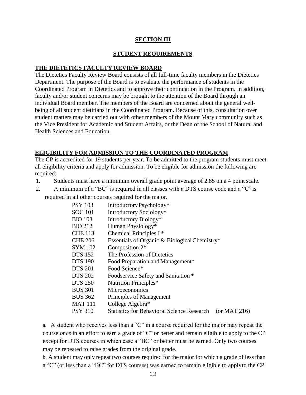#### **SECTION III**

#### **STUDENT REQUIREMENTS**

#### <span id="page-12-1"></span><span id="page-12-0"></span>**THE DIETETICS FACULTY REVIEW BOARD**

The Dietetics Faculty Review Board consists of all full-time faculty members in the Dietetics Department. The purpose of the Board is to evaluate the performance of students in the Coordinated Program in Dietetics and to approve their continuation in the Program. In addition, faculty and/or student concerns may be brought to the attention of the Board through an individual Board member. The members of the Board are concerned about the general wellbeing of all student dietitians in the Coordinated Program. Because of this, consultation over student matters may be carried out with other members of the Mount Mary community such as the Vice President for Academic and Student Affairs, or the Dean of the School of Natural and Health Sciences and Education.

#### **ELIGIBILITY FOR ADMISSION TO THE COORDINATED PROGRAM**

The CP is accredited for 19 students per year. To be admitted to the program students must meet all eligibility criteria and apply for admission. To be eligible for admission the following are required:

- 1. Students must have a minimum overall grade point average of 2.85 on a 4 point scale.
- 2. A minimum of a "BC" is required in all classes with a DTS course code and a "C" is

required in all other courses required for the major.

| <b>PSY 103</b> | Introductory Psychology*                                          |
|----------------|-------------------------------------------------------------------|
| <b>SOC 101</b> | Introductory Sociology*                                           |
| <b>BIO 103</b> | Introductory Biology*                                             |
| <b>BIO 212</b> | Human Physiology*                                                 |
| <b>CHE 113</b> | Chemical Principles I <sup>*</sup>                                |
| <b>CHE 206</b> | Essentials of Organic & Biological Chemistry*                     |
| SYM 102        | Composition $2^*$                                                 |
| <b>DTS</b> 152 | The Profession of Dietetics                                       |
| <b>DTS 190</b> | Food Preparation and Management*                                  |
| <b>DTS 201</b> | Food Science*                                                     |
| <b>DTS 202</b> | Foodservice Safety and Sanitation *                               |
| <b>DTS 250</b> | Nutrition Principles*                                             |
| <b>BUS 301</b> | <b>Microeconomics</b>                                             |
| <b>BUS 362</b> | Principles of Management                                          |
| MAT 111        | College Algebra*                                                  |
| PSY 310        | <b>Statistics for Behavioral Science Research</b><br>(or MAT 216) |
|                |                                                                   |

a. A student who receives less than a "C" in a course required for the major may repeat the course *once* in an effort to earn a grade of "C" or better and remain eligible to apply to the CP except for DTS courses in which case a "BC" or better must be earned. Only two courses may be repeated to raise grades from the original grade.

b. A student may only repeat two courses required for the major for which a grade of less than a "C" (or less than a "BC" for DTS courses) was earned to remain eligible to applyto the CP.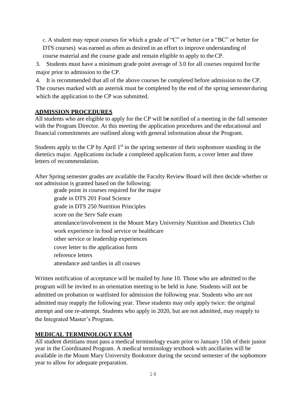c. A student may repeat courses for which a grade of "C" or better (or a "BC" or better for DTS courses) was earned as often as desired in an effort to improve understanding of course material and the course grade and remain eligible to apply to the CP.

3. Students must have a minimum grade point average of 3.0 for all courses required forthe major prior to admission to the CP.

4. It is recommended that all of the above courses be completed before admission to the CP. The courses marked with an asterisk must be completed by the end of the spring semesterduring which the application to the CP was submitted.

### **ADMISSION PROCEDURES**

All students who are eligible to apply for the CP will b**e** notified of a meeting in the fall semester with the Program Director. At this meeting the application procedures and the educational and financial commitments are outlined along with general information about the Program.

Students apply to the CP by April  $1<sup>st</sup>$  in the spring semester of their sophomore standing in the dietetics major. Applications include a completed application form, a cover letter and three letters of recommendation.

After Spring semester grades are available the Faculty Review Board will then decide whether or not admission is granted based on the following:

grade point in courses required for the major grade in DTS 201 Food Science grade in DTS 250 Nutrition Principles score on the Serv Safe exam attendance/involvement in the Mount Mary University Nutrition and Dietetics Club work experience in food service or healthcare other service or leadership experiences cover letter to the application form reference letters attendance and tardies in all courses

Written notification of acceptance will be mailed by June 10. Those who are admitted to the program will be invited to an orientation meeting to be held in June. Students will not be admitted on probation or waitlisted for admission the following year. Students who are not admitted may reapply the following year. These students may only apply twice: the original attempt and one re-attempt. Students who apply in 2020, but are not admitted, may reapply to the Integrated Master's Program.

### **MEDICAL TERMINOLOGY EXAM**

All student dietitians must pass a medical terminology exam prior to January 15th of their junior year in the Coordinated Program. A medical terminology textbook with ancillaries will be available in the Mount Mary University Bookstore during the second semester of the sophomore year to allow for adequate preparation.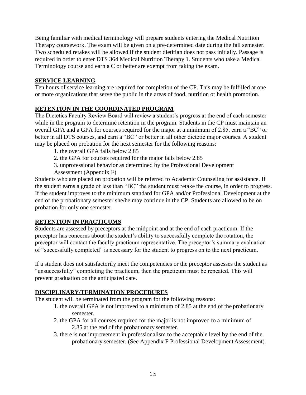Being familiar with medical terminology will prepare students entering the Medical Nutrition Therapy coursework. The exam will be given on a pre-determined date during the fall semester. Two scheduled retakes will be allowed if the student dietitian does not pass initially. Passage is required in order to enter DTS 364 Medical Nutrition Therapy 1. Students who take a Medical Terminology course and earn a C or better are exempt from taking the exam.

#### **SERVICE LEARNING**

Ten hours of service learning are required for completion of the CP. This may be fulfilled at one or more organizations that serve the public in the areas of food, nutrition or health promotion.

### **RETENTION IN THE COORDINATED PROGRAM**

The Dietetics Faculty Review Board will review a student's progress at the end of each semester while in the program to determine retention in the program. Students in the CP must maintain an overall GPA and a GPA for courses required for the major at a minimum of 2.85, earn a "BC" or better in all DTS courses, and earn a "BC" or better in all other dietetic major courses. A student may be placed on probation for the next semester for the following reasons:

- 1. the overall GPA falls below 2.85
- 2. the GPA for courses required for the major falls below 2.85
- 3. unprofessional behavior as determined by the Professional Development
- Assessment (Appendix F)

Students who are placed on probation will be referred to Academic Counseling for assistance. If the student earns a grade of less than "BC" the student must retake the course, in order to progress. If the student improves to the minimum standard for GPA and/or Professional Development at the end of the probationary semester she/he may continue in the CP. Students are allowed to be on probation for only one semester.

#### **RETENTION IN PRACTICUMS**

Students are assessed by preceptors at the midpoint and at the end of each practicum. If the preceptor has concerns about the student's ability to successfully complete the rotation, the preceptor will contact the faculty practicum representative. The preceptor's summary evaluation of "successfully completed" is necessary for the student to progress on to the next practicum.

If a student does not satisfactorily meet the competencies or the preceptor assesses the student as "unsuccessfully" completing the practicum, then the practicum must be repeated. This will prevent graduation on the anticipated date.

#### <span id="page-14-0"></span>**DISCIPLINARY/TERMINATION PROCEDURES**

The student will be terminated from the program for the following reasons:

- 1. the overall GPA is not improved to a minimum of 2.85 at the end of the probationary semester.
- 2. the GPA for all courses required for the major is not improved to a minimum of 2.85 at the end of the probationary semester.
- 3. there is not improvement in professionalism to the acceptable level by the end of the probationary semester. (See Appendix F Professional Development Assessment)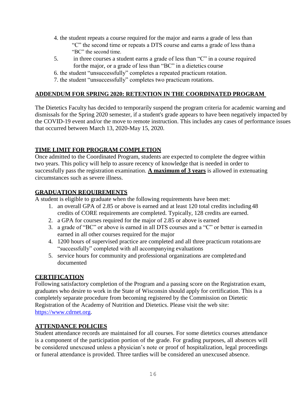- 4. the student repeats a course required for the major and earns a grade of less than "C" the second time or repeats a DTS course and earns a grade of less than a "BC" the second time.
- 5. in three courses a student earns a grade of less than "C" in a course required forthe major, or a grade of less than "BC" in a dietetics course
- 6. the student "unsuccessfully" completes a repeated practicum rotation.
- 7. the student "unsuccessfully" completes two practicum rotations.

### **ADDENDUM FOR SPRING 2020: RETENTION IN THE COORDINATED PROGRAM**

The Dietetics Faculty has decided to temporarily suspend the program criteria for academic warning and dismissals for the Spring 2020 semester, if a student's grade appears to have been negatively impacted by the COVID-19 event and/or the move to remote instruction. This includes any cases of performance issues that occurred between March 13, 2020-May 15, 2020.

### <span id="page-15-0"></span>**TIME LIMIT FOR PROGRAM COMPLETION**

Once admitted to the Coordinated Program, students are expected to complete the degree within two years. This policy will help to assure recency of knowledge that is needed in order to successfully pass the registration examination. **A maximum of 3 years** is allowed in extenuating circumstances such as severe illness.

#### **GRADUATION REQUIREMENTS**

A student is eligible to graduate when the following requirements have been met:

- 1. an overall GPA of 2.85 or above is earned and at least 120 total credits including 48 credits of CORE requirements are completed. Typically, 128 credits are earned.
- 2. a GPA for courses required for the major of 2.85 or above is earned
- 3. a grade of "BC" or above is earned in all DTS courses and a "C" or better is earnedin earned in all other courses required for the major
- 4. 1200 hours of supervised practice are completed and all three practicum rotations are "successfully" completed with all accompanying evaluations
- 5. service hours for community and professional organizations are completed and documented

#### **CERTIFICATION**

Following satisfactory completion of the Program and a passing score on the Registration exam, graduates who desire to work in the State of Wisconsin should apply for certification. This is a completely separate procedure from becoming registered by the Commission on Dietetic Registration of the Academy of Nutrition and Dietetics. Please visit the web site: [https://www.cdrnet.org.](https://www.cdrnet.org/)

#### **ATTENDANCE POLICIES**

Student attendance records are maintained for all courses. For some dietetics courses attendance is a component of the participation portion of the grade. For grading purposes, all absences will be considered unexcused unless a physician's note or proof of hospitalization, legal proceedings or funeral attendance is provided. Three tardies will be considered an unexcused absence.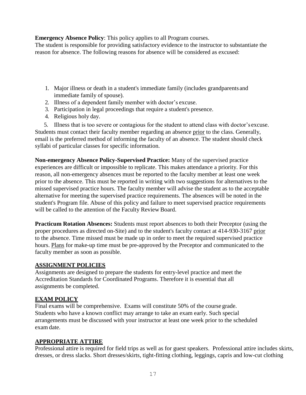**Emergency Absence Policy**: This policy applies to all Program courses.

The student is responsible for providing satisfactory evidence to the instructor to substantiate the reason for absence. The following reasons for absence will be considered as excused:

- 1. Major illness or death in a student's immediate family (includes grandparents and immediate family of spouse).
- 2. Illness of a dependent family member with doctor's excuse.
- 3. Participation in legal proceedings that require a student's presence.
- 4. Religious holy day.

5. Illness that is too severe or contagious for the student to attend class with doctor's excuse. Students must contact their faculty member regarding an absence prior to the class. Generally, email is the preferred method of informing the faculty of an absence. The student should check syllabi of particular classes for specific information.

**Non-emergency Absence Policy-Supervised Practice:** Many of the supervised practice experiences are difficult or impossible to replicate. This makes attendance a priority. For this reason, all non-emergency absences must be reported to the faculty member at least one week prior to the absence. This must be reported in writing with two suggestions for alternatives to the missed supervised practice hours. The faculty member will advise the student as to the acceptable alternative for meeting the supervised practice requirements. The absences will be noted in the student's Program file. Abuse of this policy and failure to meet supervised practice requirements will be called to the attention of the Faculty Review Board.

**Practicum Rotation Absences:** Students must report absences to both their Preceptor (using the proper procedures as directed on-Site) and to the student's faculty contact at 414-930-3167 prior to the absence. Time missed must be made up in order to meet the required supervised practice hours. Plans for make-up time must be pre-approved by the Preceptor and communicated to the faculty member as soon as possible.

#### **ASSIGNMENT POLICIES**

Assignments are designed to prepare the students for entry-level practice and meet the Accreditation Standards for Coordinated Programs. Therefore it is essential that all assignments be completed.

### **EXAM POLICY**

Final exams will be comprehensive. Exams will constitute 50% of the course grade. Students who have a known conflict may arrange to take an exam early. Such special arrangements must be discussed with your instructor at least one week prior to the scheduled exam date.

### **APPROPRIATE ATTIRE**

Professional attire is required for field trips as well as for guest speakers. Professional attire includes skirts, dresses, or dress slacks. Short dresses/skirts, tight-fitting clothing, leggings, capris and low-cut clothing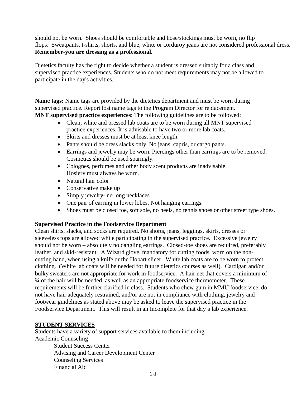should not be worn. Shoes should be comfortable and hose/stockings must be worn, no flip flops. Sweatpants, t-shirts, shorts, and blue, white or corduroy jeans are not considered professional dress. **Remember-you are dressing as a professional.**

Dietetics faculty has the right to decide whether a student is dressed suitably for a class and supervised practice experiences. Students who do not meet requirements may not be allowed to participate in the day's activities.

**Name tags:** Name tags are provided by the dietetics department and must be worn during supervised practice. Report lost name tags to the Program Director for replacement. **MNT supervised practice experiences**: The following guidelines are to be followed:

- Clean, white and pressed lab coats are to be worn during all MNT supervised practice experiences. It is advisable to have two or more lab coats.
- Skirts and dresses must be at least knee length.
- Pants should be dress slacks only. No jeans, capris, or cargo pants.
- Earrings and jewelry may be worn. Piercings other than earrings are to be removed. Cosmetics should be used sparingly.
- Colognes, perfumes and other body scent products are inadvisable. Hosiery must always be worn.
- Natural hair color
- Conservative make up
- Simply jewelry- no long necklaces
- One pair of earring in lower lobes. Not hanging earrings.
- Shoes must be closed toe, soft sole, no heels, no tennis shoes or other street type shoes.

#### **Supervised Practice in the Foodservice Department**

Clean shirts, slacks, and socks are required. No shorts, jeans, leggings, skirts, dresses or sleeveless tops are allowed while participating in the supervised practice. Excessive jewelry should not be worn – absolutely no dangling earrings. Closed-toe shoes are required, preferably leather, and skid-resistant. A Wizard glove, mandatory for cutting foods, worn on the noncutting hand, when using a knife or the Hobart slicer. White lab coats are to be worn to protect clothing. (White lab coats will be needed for future dietetics courses as well). Cardigan and/or bulky sweaters are not appropriate for work in foodservice. A hair net that covers a minimum of ¾ of the hair will be needed, as well as an appropriate foodservice thermometer. These requirements will be further clarified in class. Students who chew gum in MMU foodservice, do not have hair adequately restrained, and/or are not in compliance with clothing, jewelry and footwear guidelines as stated above may be asked to leave the supervised practice in the Foodservice Department. This will result in an Incomplete for that day's lab experience.

#### **STUDENT SERVICES**

Financial Aid

Students have a variety of support services available to them including: Academic Counseling Student Success Center Advising and Career Development Center

Counseling Services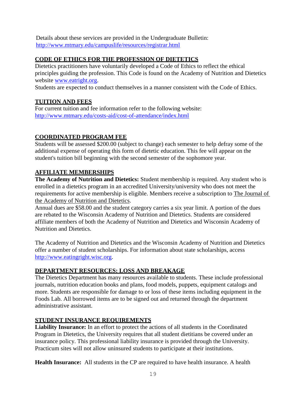Details about these services are provided in the Undergraduate Bulletin: <http://www.mtmary.edu/campuslife/resources/registrar.html>

### **CODE OF ETHICS FOR THE PROFESSION OF DIETETICS**

Dietetics practitioners have voluntarily developed a Code of Ethics to reflect the ethical principles guiding the profession. This Code is found on the Academy of Nutrition and Dietetics website [www.eatright.org.](http://www.eatright.org/)

Students are expected to conduct themselves in a manner consistent with the Code of Ethics.

### **TUITION AND FEES**

For current tuition and fee information refer to the following website: <http://www.mtmary.edu/costs-aid/cost-of-attendance/index.html>

### **COORDINATED PROGRAM FEE**

Students will be assessed \$200.00 (subject to change) each semester to help defray some of the additional expense of operating this form of dietetic education. This fee will appear on the student's tuition bill beginning with the second semester of the sophomore year.

#### **AFFILIATE MEMBERSHIPS**

**The Academy of Nutrition and Dietetics:** Student membership is required. Any student who is enrolled in a dietetics program in an accredited University/university who does not meet the requirements for active membership is eligible. Members receive a subscription to The Journal of the Academy of Nutrition and Dietetics.

Annual dues are \$58.00 and the student category carries a six year limit. A portion of the dues are rebated to the Wisconsin Academy of Nutrition and Dietetics. Students are considered affiliate members of both the Academy of Nutrition and Dietetics and Wisconsin Academy of Nutrition and Dietetics.

The Academy of Nutrition and Dietetics and the Wisconsin Academy of Nutrition and Dietetics offer a number of student scholarships. For information about state scholarships, access [http://www.eatingright.wisc.org.](http://www.eatingright.wisc.org/)

#### **DEPARTMENT RESOURCES: LOSS AND BREAKAGE**

The Dietetics Department has many resources available to students. These include professional journals, nutrition education books and plans, food models, puppets, equipment catalogs and more. Students are responsible for damage to or loss of these items including equipment in the Foods Lab. All borrowed items are to be signed out and returned through the department administrative assistant.

#### **STUDENT INSURANCE REQUIREMENTS**

**Liability Insurance:** In an effort to protect the actions of all students in the Coordinated Program in Dietetics, the University requires that all student dietitians be covered under an insurance policy. This professional liability insurance is provided through the University. Practicum sites will not allow uninsured students to participate at their institutions.

**Health Insurance:** All students in the CP are required to have health insurance. A health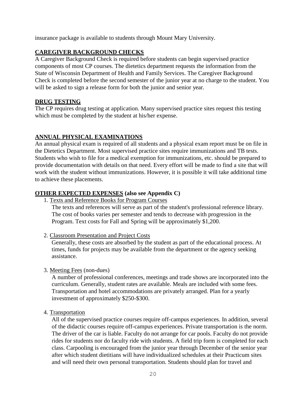insurance package is available to students through Mount Mary University.

### **CAREGIVER BACKGROUND CHECKS**

A Caregiver Background Check is required before students can begin supervised practice components of most CP courses. The dietetics department requests the information from the State of Wisconsin Department of Health and Family Services. The Caregiver Background Check is completed before the second semester of the junior year at no charge to the student. You will be asked to sign a release form for both the junior and senior year.

#### **DRUG TESTING**

The CP requires drug testing at application. Many supervised practice sites request this testing which must be completed by the student at his/her expense.

### **ANNUAL PHYSICAL EXAMINATIONS**

An annual physical exam is required of all students and a physical exam report must be on file in the Dietetics Department. Most supervised practice sites require immunizations and TB tests. Students who wish to file for a medical exemption for immunizations, etc. should be prepared to provide documentation with details on that need. Every effort will be made to find a site that will work with the student without immunizations. However, it is possible it will take additional time to achieve these placements.

### **OTHER EXPECTED EXPENSES (also see Appendix C)**

1. Texts and Reference Books for Program Courses

The texts and references will serve as part of the student's professional reference library. The cost of books varies per semester and tends to decrease with progression in the Program. Text costs for Fall and Spring will be approximately \$1,200.

2. Classroom Presentation and Project Costs

Generally, these costs are absorbed by the student as part of the educational process. At times, funds for projects may be available from the department or the agency seeking assistance.

3. Meeting Fees (non-dues)

A number of professional conferences, meetings and trade shows are incorporated into the curriculum. Generally, student rates are available. Meals are included with some fees. Transportation and hotel accommodations are privately arranged. Plan for a yearly investment of approximately \$250-\$300.

4. Transportation

All of the supervised practice courses require off-campus experiences. In addition, several of the didactic courses require off-campus experiences. Private transportation is the norm. The driver of the car is liable. Faculty do not arrange for car pools. Faculty do not provide rides for students nor do faculty ride with students. A field trip form is completed for each class. Carpooling is encouraged from the junior year through December of the senior year after which student dietitians will have individualized schedules at their Practicum sites and will need their own personal transportation. Students should plan for travel and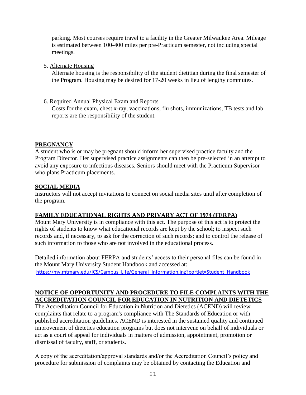parking. Most courses require travel to a facility in the Greater Milwaukee Area. Mileage is estimated between 100-400 miles per pre-Practicum semester, not including special meetings.

5. Alternate Housing

Alternate housing is the responsibility of the student dietitian during the final semester of the Program. Housing may be desired for 17-20 weeks in lieu of lengthy commutes.

6. Required Annual Physical Exam and Reports

Costs for the exam, chest x-ray, vaccinations, flu shots, immunizations, TB tests and lab reports are the responsibility of the student.

### **PREGNANCY**

A student who is or may be pregnant should inform her supervised practice faculty and the Program Director. Her supervised practice assignments can then be pre-selected in an attempt to avoid any exposure to infectious diseases. Seniors should meet with the Practicum Supervisor who plans Practicum placements.

### **SOCIAL MEDIA**

Instructors will not accept invitations to connect on social media sites until after completion of the program.

### **FAMILY EDUCATIONAL RIGHTS AND PRIVARY ACT OF 1974 (FERPA)**

Mount Mary University is in compliance with this act. The purpose of this act is to protect the rights of students to know what educational records are kept by the school; to inspect such records and, if necessary, to ask for the correction of such records; and to control the release of such information to those who are not involved in the educational process.

Detailed information about FERPA and students' access to their personal files can be found in the Mount Mary University Student Handbook and accessed at: [https://my.mtmary.edu/ICS/Campus\\_Life/General\\_Information.jnz?portlet=Student\\_Handbook](https://my.mtmary.edu/ICS/Campus_Life/General_Information.jnz?portlet=Student_Handbook)

### **NOTICE OF OPPORTUNITY AND PROCEDURE TO FILE COMPLAINTS WITH THE ACCREDITATION COUNCIL FOR EDUCATION IN NUTRITION AND DIETETICS**

The Accreditation Council for Education in Nutrition and Dietetics (ACEND) will review complaints that relate to a program's compliance with The Standards of Education or with published accreditation guidelines. ACEND is interested in the sustained quality and continued improvement of dietetics education programs but does not intervene on behalf of individuals or act as a court of appeal for individuals in matters of admission, appointment, promotion or dismissal of faculty, staff, or students.

A copy of the accreditation/approval standards and/or the Accreditation Council's policy and procedure for submission of complaints may be obtained by contacting the Education and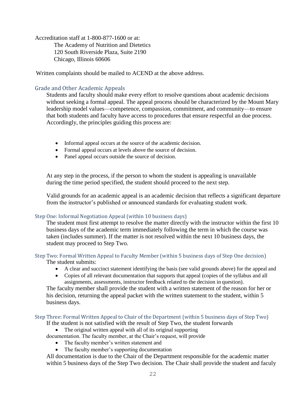Accreditation staff at 1-800-877-1600 or at: The Academy of Nutrition and Dietetics 120 South Riverside Plaza, Suite 2190 Chicago, Illinois 60606

Written complaints should be mailed to ACEND at the above address.

### Grade and Other Academic Appeals

Students and faculty should make every effort to resolve questions about academic decisions without seeking a formal appeal. The appeal process should be characterized by the Mount Mary leadership model values—competence, compassion, commitment, and community—to ensure that both students and faculty have access to procedures that ensure respectful an due process. Accordingly, the principles guiding this process are:

- Informal appeal occurs at the source of the academic decision.
- Formal appeal occurs at levels above the source of decision.
- Panel appeal occurs outside the source of decision.

At any step in the process, if the person to whom the student is appealing is unavailable during the time period specified, the student should proceed to the next step.

Valid grounds for an academic appeal is an academic decision that reflects a significant departure from the instructor's published or announced standards for evaluating student work.

#### Step One: Informal Negotiation Appeal (within 10 business days)

The student must first attempt to resolve the matter directly with the instructor within the first 10 business days of the academic term immediately following the term in which the course was taken (includes summer). If the matter is not resolved within the next 10 business days, the student may proceed to Step Two.

#### Step Two: Formal Written Appeal to Faculty Member (within 5 business days of Step One decision) The student submits:

- A clear and succinct statement identifying the basis (see valid grounds above) for the appeal and
- Copies of all relevant documentation that supports that appeal (copies of the syllabus and all assignments, assessments, instructor feedback related to the decision in question).

The faculty member shall provide the student with a written statement of the reason for her or his decision, returning the appeal packet with the written statement to the student, within 5 business days.

#### Step Three: Formal Written Appeal to Chair of the Department (within 5 business days of Step Two)

If the student is not satisfied with the result of Step Two, the student forwards

• The original written appeal with all of its original supporting

documentation. The faculty member, at the Chair's request, will provide

- The faculty member's written statement and
- The faculty member's supporting documentation

All documentation is due to the Chair of the Department responsible for the academic matter within 5 business days of the Step Two decision. The Chair shall provide the student and faculy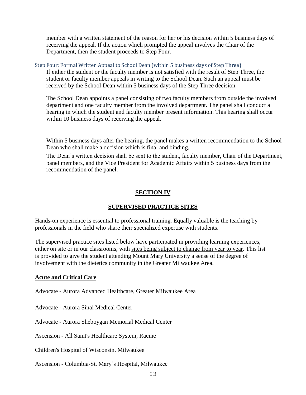member with a written statement of the reason for her or his decision within 5 business days of receiving the appeal. If the action which prompted the appeal involves the Chair of the Department, then the student proceeds to Step Four.

Step Four: Formal Written Appeal to School Dean (within 5 business days of Step Three)

If either the student or the faculty member is not satisfied with the result of Step Three, the student or faculty member appeals in writing to the School Dean. Such an appeal must be received by the School Dean within 5 business days of the Step Three decision.

The School Dean appoints a panel consisting of two faculty members from outside the involved department and one faculty member from the involved department. The panel shall conduct a hearing in which the student and faculty member present information. This hearing shall occur within 10 business days of receiving the appeal.

Within 5 business days after the hearing, the panel makes a written recommendation to the School Dean who shall make a decision which is final and binding.

The Dean's written decision shall be sent to the student, faculty member, Chair of the Department, panel members, and the Vice President for Academic Affairs within 5 business days from the recommendation of the panel.

#### **SECTION IV**

#### **SUPERVISED PRACTICE SITES**

<span id="page-22-1"></span><span id="page-22-0"></span>Hands-on experience is essential to professional training. Equally valuable is the teaching by professionals in the field who share their specialized expertise with students.

The supervised practice sites listed below have participated in providing learning experiences, either on site or in our classrooms, with sites being subject to change from year to year. This list is provided to give the student attending Mount Mary University a sense of the degree of involvement with the dietetics community in the Greater Milwaukee Area.

#### **Acute and Critical Care**

Advocate - Aurora Advanced Healthcare, Greater Milwaukee Area

Advocate - Aurora Sinai Medical Center

Advocate - Aurora Sheboygan Memorial Medical Center

Ascension - All Saint's Healthcare System, Racine

Children's Hospital of Wisconsin, Milwaukee

Ascension - Columbia-St. Mary's Hospital, Milwaukee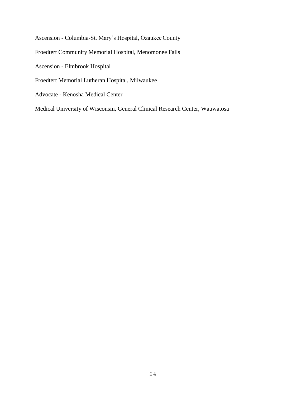Ascension - Columbia-St. Mary's Hospital, Ozaukee County

- Froedtert Community Memorial Hospital, Menomonee Falls
- Ascension Elmbrook Hospital
- Froedtert Memorial Lutheran Hospital, Milwaukee
- Advocate Kenosha Medical Center

Medical University of Wisconsin, General Clinical Research Center, Wauwatosa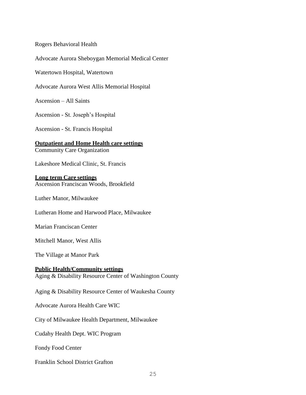Rogers Behavioral Health

Advocate Aurora Sheboygan Memorial Medical Center

Watertown Hospital, Watertown

Advocate Aurora West Allis Memorial Hospital

Ascension – All Saints

Ascension - St. Joseph's Hospital

Ascension - St. Francis Hospital

**Outpatient and Home Health care settings** Community Care Organization

Lakeshore Medical Clinic, St. Francis

#### **Long term Care settings**

Ascension Franciscan Woods, Brookfield

Luther Manor, Milwaukee

Lutheran Home and Harwood Place, Milwaukee

Marian Franciscan Center

Mitchell Manor, West Allis

The Village at Manor Park

#### **Public Health/Community settings**

Aging & Disability Resource Center of Washington County

Aging & Disability Resource Center of Waukesha County

Advocate Aurora Health Care WIC

City of Milwaukee Health Department, Milwaukee

Cudahy Health Dept. WIC Program

Fondy Food Center

Franklin School District Grafton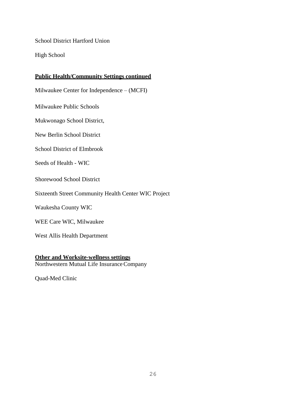School District Hartford Union

High School

### **Public Health/Community Settings continued**

Milwaukee Center for Independence – (MCFI)

Milwaukee Public Schools

Mukwonago School District,

New Berlin School District

School District of Elmbrook

Seeds of Health - WIC

Shorewood School District

Sixteenth Street Community Health Center WIC Project

Waukesha County WIC

WEE Care WIC, Milwaukee

West Allis Health Department

#### **Other and Worksite-wellness settings**

Northwestern Mutual Life InsuranceCompany

Quad-Med Clinic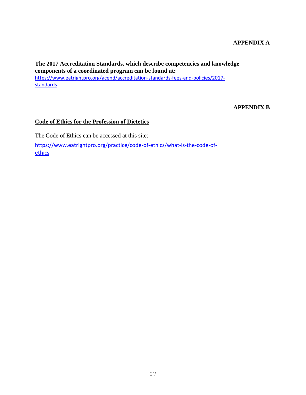### **APPENDIX A**

**The 2017 Accreditation Standards, which describe competencies and knowledge components of a coordinated program can be found at:** [https://www.eatrightpro.org/acend/accreditation-standards-fees-and-policies/2017](https://www.eatrightpro.org/acend/accreditation-standards-fees-and-policies/2017-standards) **[standards](https://www.eatrightpro.org/acend/accreditation-standards-fees-and-policies/2017-standards)** 

#### **APPENDIX B**

#### **Code of Ethics for the Profession of Dietetics**

The Code of Ethics can be accessed at this site: [https://www.eatrightpro.org/practice/code-of-ethics/what-is-the-code-of](https://www.eatrightpro.org/practice/code-of-ethics/what-is-the-code-of-ethics)[ethics](https://www.eatrightpro.org/practice/code-of-ethics/what-is-the-code-of-ethics)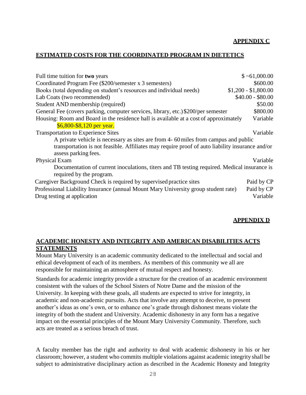#### **APPENDIX C**

#### **ESTIMATED COSTS FOR THE COORDINATED PROGRAM IN DIETETICS**

| Full time tuition for two years                                                                 | \$~1,000.00          |
|-------------------------------------------------------------------------------------------------|----------------------|
| Coordinated Program Fee (\$200/semester x 3 semesters)                                          | \$600.00             |
| Books (total depending on student's resources and individual needs)                             | $$1,200 - $1,800.00$ |
| Lab Coats (two recommended)                                                                     | $$40.00 - $80.00$    |
| Student AND membership (required)                                                               | \$50.00              |
| General Fee (covers parking, computer services, library, etc.) \$200/per semester               | \$800.00             |
| Housing: Room and Board in the residence hall is available at a cost of approximately           | Variable             |
| \$6,800-\$8,120 per year.                                                                       |                      |
| <b>Transportation to Experience Sites</b>                                                       | Variable             |
| A private vehicle is necessary as sites are from 4-60 miles from campus and public              |                      |
| transportation is not feasible. Affiliates may require proof of auto liability insurance and/or |                      |
| assess parking fees.                                                                            |                      |
| Physical Exam                                                                                   | Variable             |
| Documentation of current inoculations, titers and TB testing required. Medical insurance is     |                      |
| required by the program.                                                                        |                      |
| Caregiver Background Check is required by supervised practice sites                             | Paid by CP           |
| Professional Liability Insurance (annual Mount Mary University group student rate)              | Paid by CP           |
| Drug testing at application                                                                     | Variable             |

#### **APPENDIX D**

### **ACADEMIC HONESTY AND INTEGRITY AND AMERICAN DISABILITIES ACTS STATEMENTS**

Mount Mary University is an academic community dedicated to the intellectual and social and ethical development of each of its members. As members of this community we all are responsible for maintaining an atmosphere of mutual respect and honesty.

Standards for academic integrity provide a structure for the creation of an academic environment consistent with the values of the School Sisters of Notre Dame and the mission of the University. In keeping with these goals, all students are expected to strive for integrity, in academic and non-academic pursuits. Acts that involve any attempt to deceive, to present another's ideas as one's own, or to enhance one's grade through dishonest means violate the integrity of both the student and University. Academic dishonesty in any form has a negative impact on the essential principles of the Mount Mary University Community. Therefore, such acts are treated as a serious breach of trust.

A faculty member has the right and authority to deal with academic dishonesty in his or her classroom; however, a student who commits multiple violations against academic integrity shall be subject to administrative disciplinary action as described in the Academic Honesty and Integrity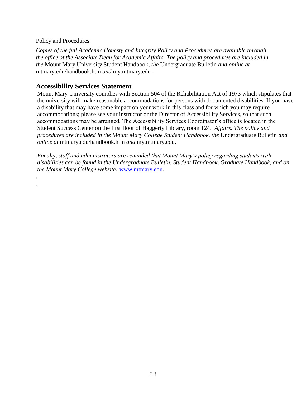Policy and Procedures.

. .

*Copies of the full Academic Honesty and Integrity Policy and Procedures are available through the office of the Associate Dean for Academic Affairs. The policy and procedures are included in the* Mount Mary University Student Handbook*, the* Undergraduate Bulletin *and online at*  mtmary.edu/handbook.htm *and* my.mtmary.edu .

## **Accessibility Services Statement**

Mount Mary University complies with Section 504 of the Rehabilitation Act of 1973 which stipulates that the university will make reasonable accommodations for persons with documented disabilities. If you have a disability that may have some impact on your work in this class and for which you may require accommodations; please see your instructor or the Director of Accessibility Services, so that such accommodations may be arranged. The Accessibility Services Coordinator's office is located in the Student Success Center on the first floor of Haggerty Library, room 124. *Affairs. The policy and procedures are included in the Mount Mary College Student Handbook, the* Undergraduate Bulletin *and online at* mtmary.edu/handbook.htm *and* my.mtmary.edu.

*Faculty, staff and administrators are reminded that Mount Mary's policy regarding students with disabilities can be found in the Undergraduate Bulletin, Student Handbook, Graduate Handbook, and on the Mount Mary College website:* [www.mtmary.edu.](http://www.mtmary.edu/)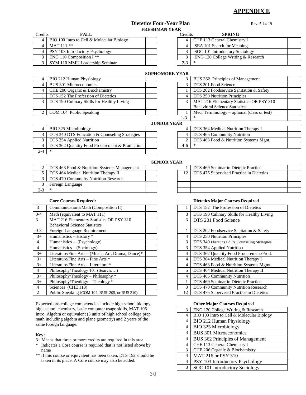#### **APPENDIX E**

#### **Dietetics Four-Year Plan** Rev. 5-14-19 **FRESHMAN YEAR**

Credits **FALL** Credits **SPRING** 4 BIO 100 Intro to Cell & Molecular Biology 4 MAT 111 \*\* 4 | PSY 103 Introductory Psychology 3 ENG 110 Composition I \*\* 3 SYM 110 MMU Leadership Seminar

| $\overline{\phantom{a}}$ |                                    |  |
|--------------------------|------------------------------------|--|
| Credits                  | <b>SPRING</b>                      |  |
|                          | CHE 113 General Chemistry I        |  |
| 4                        | SEA 101 Search for Meaning         |  |
| 3                        | SOC 101 Introductory Sociology     |  |
| 3                        | ENG 120 College Writing & Research |  |
| $2 - 3$                  | $\ast$                             |  |

#### **SOPHOMORE YEAR** 3 BUS 362 Principles of Management

| BIO 212 Human Physiology                       |  | BUS 362 Principles of Management             |
|------------------------------------------------|--|----------------------------------------------|
| <b>BUS 301 Microeconomics</b>                  |  | DTS 201 Food Science                         |
| CHE 206 Organic & Biochemistry                 |  | DTS 202 Foodservice Sanitation & Safety      |
| DTS 152 The Profession of Dietetics            |  | 4   DTS 250 Nutrition Principles             |
| 3   DTS 190 Culinary Skills for Healthy Living |  | 3   MAT 216 Elementary Statistics OR PSY 310 |
|                                                |  | <b>Behavioral Science Statistics</b>         |
| 2   COM 104 Public Speaking                    |  | Med. Terminology – optional (class or test)  |

|                                             | DIS 201 Food Science                     |  |  |  |
|---------------------------------------------|------------------------------------------|--|--|--|
| DTS 202 Foodservice Sanitation & Safety     |                                          |  |  |  |
|                                             | DTS 250 Nutrition Principles             |  |  |  |
| 3                                           | MAT 216 Elementary Statistics OR PSY 310 |  |  |  |
| <b>Behavioral Science Statistics</b>        |                                          |  |  |  |
| Med. Terminology – optional (class or test) |                                          |  |  |  |
| $1 - 3$                                     | *                                        |  |  |  |
| EAR                                         |                                          |  |  |  |
|                                             | DTS 364 Medical Nutrition Therapy I      |  |  |  |
|                                             | DTS 465 Community Nutrition              |  |  |  |

#### **JUNIOR YI**

| 'AK |                                        |  |
|-----|----------------------------------------|--|
|     | DTS 364 Medical Nutrition Therapy I    |  |
|     | DTS 465 Community Nutrition            |  |
|     | DTS 463 Food & Nutrition Systems Mgnt. |  |
|     |                                        |  |

#### 3 DTS 340 DTS Education & Counseling Strategies 3 DTS 354 Applied Nutrition 4 DTS 362 Quantity Food Procurement & Production 2-4 \*

|                                                 | <b>SENIOK YEAK</b> |                                             |
|-------------------------------------------------|--------------------|---------------------------------------------|
| 2   DTS 463 Food & Nutrition Systems Management |                    | DTS 469 Seminar in Dietetic Practice        |
| DTS 464 Medical Nutrition Therapy II            |                    | 12 DTS 475 Supervised Practice in Dietetics |
| DTS 470 Community Nutrition Research            |                    |                                             |
| Foreign Language                                |                    |                                             |
|                                                 |                    |                                             |

4 | BIO 325 Microbiology

| 3       | Communications/Math (Composition II)               |                | DTS 152 The Profession of Dietetics           |
|---------|----------------------------------------------------|----------------|-----------------------------------------------|
| $0 - 4$ | Math (equivalent to MAT 111)                       | 3              | DTS 190 Culinary Skills for Healthy Living    |
| 3       | MAT 216 Elementary Statistics OR PSY 310           | $\mathcal{E}$  | DTS 201 Food Science                          |
|         | <b>Behavioral Science Statistics</b>               |                |                                               |
| $0 - 3$ | Foreign Language Requirement                       |                | DTS 202 Foodservice Sanitation & Safety       |
| $3+$    | Humanistics - History *                            | 4              | DTS 250 Nutrition Principles                  |
| 4       | Humanistics - (Psychology)                         | 3              | DTS 340 Dietetics Ed. & Counseling Strategies |
| 4       | Humanistics $-$ (Sociology)                        | 3              | DTS 354 Applied Nutrition                     |
| $3+$    | Literature/Fine Arts - (Music, Art, Drama, Dance)* | 4              | DTS 362 Quantity Food Procurement/Prod.       |
| $3+$    | Literature/Fine Arts - Fine Arts *                 | $\overline{4}$ | DTS 364 Medical Nutrition Therapy I           |
| $3+$    | Literature/Fine Arts – Literature *                | 4              | DTS 463 Food & Nutrition Systems Mgmt         |
| 4       | Philosophy/Theology 101 (Search)                   | 5              | DTS 464 Medical Nutrition Therapy II          |
| $3+$    | Philosophy/Theology – Philosophy *                 | 4              | DTS 465 Community Nutrition                   |
| $3+$    | Philosophy/Theology – Theology $*$                 |                | DTS 469 Seminar in Dietetic Practice          |
| 4       | Sciences (CHE 113)                                 | 3              | DTS 470 Community Nutrition Research          |
| 2       | Public Speaking (COM 104, BUS 205, or BUS 210)     | 12             | DTS 475 Supervised Practice in Dietetics      |
|         |                                                    |                |                                               |

Expected pre-college competencies include high school biology, high school chemistry, basic computer usage skills, MAT 105 Intro. Algebra or equivalent (3 units of high school college prep math including algebra and plane geometry) and 2 years of the same foreign language.

#### **Key:**

- 3+ Means that three or more credits are required in this area
- \* Indicates a Core course is required that is not listed above by name
- \*\* If this course or equivalent has been taken, DTS 152 should be taken in its place. A Core course may also be added.

#### **SENIOR YEAR**

|    | DTS 469 Seminar in Dietetic Practice     |  |
|----|------------------------------------------|--|
| 12 | DTS 475 Supervised Practice in Dietetics |  |
|    |                                          |  |
|    |                                          |  |
|    |                                          |  |

#### **Core Courses Required: Dietetics Major Courses Required**

|                | DTS 152 The Profession of Dietetics           |
|----------------|-----------------------------------------------|
| 3              | DTS 190 Culinary Skills for Healthy Living    |
| 3              | DTS 201 Food Science                          |
|                |                                               |
| 1              | DTS 202 Foodservice Sanitation & Safety       |
| 4              | DTS 250 Nutrition Principles                  |
| 3              | DTS 340 Dietetics Ed. & Counseling Strategies |
| 3              | DTS 354 Applied Nutrition                     |
| $\overline{4}$ | DTS 362 Quantity Food Procurement/Prod.       |
| 4              | DTS 364 Medical Nutrition Therapy I           |
| 4              | DTS 463 Food & Nutrition Systems Mgmt         |
| 5              | DTS 464 Medical Nutrition Therapy II          |
| 4              | DTS 465 Community Nutrition                   |
| 1              | DTS 469 Seminar in Dietetic Practice          |
| 3              | DTS 470 Community Nutrition Research          |
| 12             | DTS 475 Supervised Practice in Dietetics      |

#### **Other Major Courses Required**

| 3              | ENG 120 College Writing & Research        |
|----------------|-------------------------------------------|
| 4              | BIO 100 Intro to Cell & Molecular Biology |
| 4              | <b>BIO 212 Human Physiology</b>           |
| 4              | <b>BIO 325 Microbiology</b>               |
| 3              | <b>BUS 301 Microeconomics</b>             |
| $\overline{4}$ | BUS 362 Principles of Management          |
| 4              | CHE 113 General Chemistry I               |
| 3              | CHE 206 Organic & Biochemistry            |
| 4              | MAT 216 or PSY 310                        |
| 4              | PSY 103 Introductory Psychology           |
| 3              | SOC 101 Introductory Sociology            |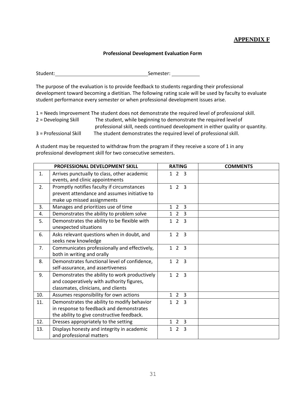#### **APPENDIX F**

#### **Professional Development Evaluation Form**

Student: Student: Student: Semester: Semester: Semester: Semester: Semester: Semester: Semester: Semester: Semester: Semester: Semester: Semester: Semester: Semester: Semester: Semester: Semester: Semester: Semester: Semes

The purpose of the evaluation is to provide feedback to students regarding their professional development toward becoming a dietitian. The following rating scale will be used by faculty to evaluate student performance every semester or when professional development issues arise.

1 = Needs Improvement The student does not demonstrate the required level of professional skill. 2 = Developing Skill The student, while beginning to demonstrate the required levelof professional skill, needs continued development in either quality or quantity. 3 = Professional Skill The student demonstrates the required level of professionalskill.

A student may be requested to withdraw from the program if they receive a score of 1 in any professional development skill for two consecutive semesters.

|     | <b>PROFESSIONAL DEVELOPMENT SKILL</b>                                             | <b>RATING</b>                         | <b>COMMENTS</b> |
|-----|-----------------------------------------------------------------------------------|---------------------------------------|-----------------|
| 1.  | Arrives punctually to class, other academic<br>events, and clinic appointments    | $1 \t2 \t3$                           |                 |
| 2.  | Promptly notifies faculty if circumstances                                        | $1 \t2 \t3$                           |                 |
|     | prevent attendance and assumes initiative to                                      |                                       |                 |
|     | make up missed assignments                                                        |                                       |                 |
| 3.  | Manages and prioritizes use of time                                               | $1\quad2$<br>$\overline{3}$           |                 |
| 4.  | Demonstrates the ability to problem solve                                         | $1\quad2$<br>3                        |                 |
| 5.  | Demonstrates the ability to be flexible with<br>unexpected situations             | $\overline{2}$<br>1<br>$\overline{3}$ |                 |
| 6.  | Asks relevant questions when in doubt, and                                        | 123                                   |                 |
|     | seeks new knowledge                                                               |                                       |                 |
| 7.  | Communicates professionally and effectively,<br>both in writing and orally        | 123                                   |                 |
|     |                                                                                   |                                       |                 |
| 8.  | Demonstrates functional level of confidence,<br>self-assurance, and assertiveness | 123                                   |                 |
| 9.  | Demonstrates the ability to work productively                                     | 123                                   |                 |
|     | and cooperatively with authority figures,                                         |                                       |                 |
|     | classmates, clinicians, and clients                                               |                                       |                 |
| 10. | Assumes responsibility for own actions                                            | $1\quad2$<br>$\overline{\mathbf{3}}$  |                 |
| 11. | Demonstrates the ability to modify behavior                                       | 123                                   |                 |
|     | in response to feedback and demonstrates                                          |                                       |                 |
|     | the ability to give constructive feedback.                                        |                                       |                 |
| 12. | Dresses appropriately to the setting                                              | $1\quad2$<br>$\overline{\mathbf{3}}$  |                 |
| 13. | Displays honesty and integrity in academic<br>and professional matters            | $1\quad2$<br>$\overline{\mathbf{3}}$  |                 |
|     |                                                                                   |                                       |                 |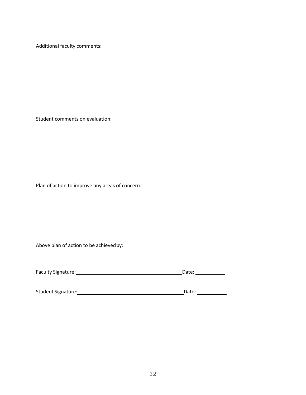Additional faculty comments:

Student comments on evaluation:

Plan of action to improve any areas of concern:

Above plan of action to be achievedby:

Faculty Signature: Date:

Student Signature: Date: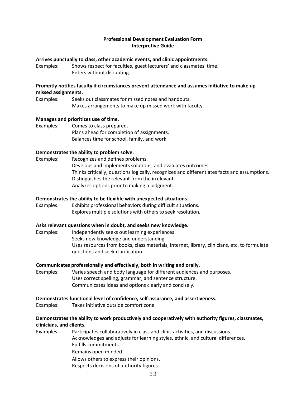#### **Professional Development Evaluation Form Interpretive Guide**

#### **Arrives punctually to class, other academic events, and clinic appointments.**

Examples: Shows respect for faculties, guest lecturers' and classmates' time. Enters without disrupting.

#### **Promptly notifies faculty if circumstances prevent attendance and assumes initiative to make up missed assignments.**

Examples: Seeks out classmates for missed notes and handouts. Makes arrangements to make up missed work with faculty.

#### **Manages and prioritizes use of time.**

Examples: Comes to class prepared. Plans ahead for completion of assignments. Balances time for school, family, and work.

#### **Demonstrates the ability to problem solve.**

Examples: Recognizes and defines problems. Develops and implements solutions, and evaluates outcomes. Thinks critically, questions logically, recognizes and differentiates facts and assumptions. Distinguishes the relevant from the irrelevant. Analyzes options prior to making a judgment.

#### **Demonstrates the ability to be flexible with unexpected situations.**

Examples: Exhibits professional behaviors during difficult situations. Explores multiple solutions with others to seek resolution.

#### **Asks relevant questions when in doubt, and seeks new knowledge.**

Examples: Independently seeks out learning experiences. Seeks new knowledge and understanding. Uses resources from books, class materials, internet, library, clinicians, etc. to formulate questions and seek clarification.

#### **Communicates professionally and effectively, both in writing and orally.**

Examples: Varies speech and body language for different audiences and purposes. Uses correct spelling, grammar, and sentence structure. Communicates ideas and options clearly and concisely.

#### **Demonstrates functional level of confidence, self-assurance, and assertiveness.**

Examples: Takes initiative outside comfort zone.

#### **Demonstrates the ability to work productively and cooperatively with authority figures, classmates, clinicians, and clients.**

Examples: Participates collaboratively in class and clinic activities, and discussions.

Acknowledges and adjusts for learning styles, ethnic, and cultural differences. Fulfills commitments.

Remains open minded.

Allows others to express their opinions.

Respects decisions of authority figures.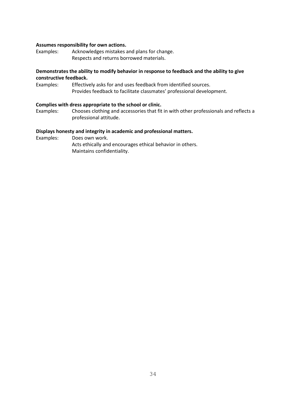#### **Assumes responsibility for own actions.**

Examples: Acknowledges mistakes and plans for change. Respects and returns borrowed materials.

#### **Demonstrates the ability to modify behavior in response to feedback and the ability to give constructive feedback.**

Examples: Effectively asks for and uses feedback from identified sources. Provides feedback to facilitate classmates' professional development.

#### **Complies with dress appropriate to the school or clinic.**

Examples: Chooses clothing and accessories that fit in with other professionals and reflects a professional attitude.

#### **Displays honesty and integrity in academic and professional matters.**

Examples: Does own work.

Acts ethically and encourages ethical behavior in others. Maintains confidentiality.